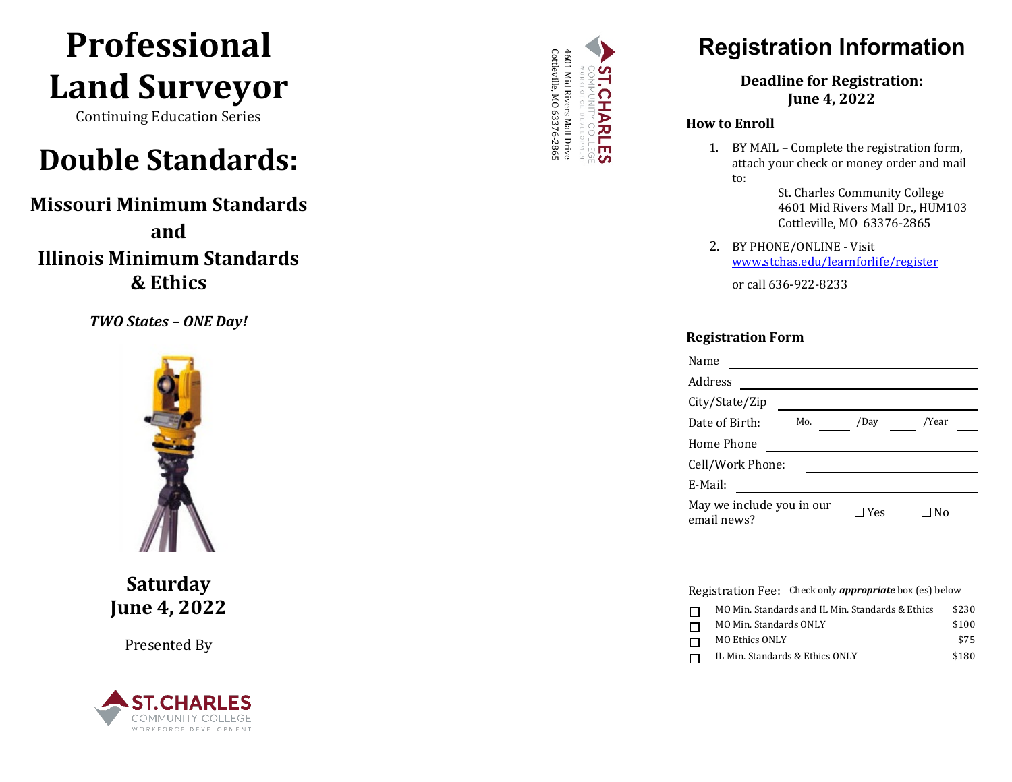# **Professional Land Surveyor**

Continuing Education Series

# **Double Standards:**

**Missouri Minimum Standards and Illinois Minimum Standards & Ethics** 

*TWO States – ONE Day !*



**Saturday June 4, 20 2 2**

Presented By





## **Registration Information**

**Deadline for Registration: June 4, 202 2**

#### **How to Enroll**

1. BY MAIL – Complete the registration form, attach your check or money order and mail to:

> St. Charles Community College 4601 Mid Rivers Mall Dr., HUM103 Cottleville, MO 63376 -2865

2. BY PHONE/ONLINE - Visit [www.stchas.edu/learnforlife/](http://www.stchas.edu/learnforlife)register

or call 636 -922 -8233

#### **Registration Form**

| Name                                     |     |            |       |  |
|------------------------------------------|-----|------------|-------|--|
| Address                                  |     |            |       |  |
| City/State/Zip                           |     |            |       |  |
| Date of Birth:                           | Mo. | /Day       | /Year |  |
| Home Phone                               |     |            |       |  |
| Cell/Work Phone:                         |     |            |       |  |
| E-Mail:                                  |     |            |       |  |
| May we include you in our<br>email news? |     | $\Box$ Yes | l No  |  |

Registration Fee: Check only *appropriate* box (es) below

| MO Min. Standards and IL Min. Standards & Ethics | \$230 |
|--------------------------------------------------|-------|
| MO Min. Standards ONLY                           | \$100 |
| MO Ethics ONLY                                   | \$75  |
| IL Min. Standards & Ethics ONLY                  | \$180 |